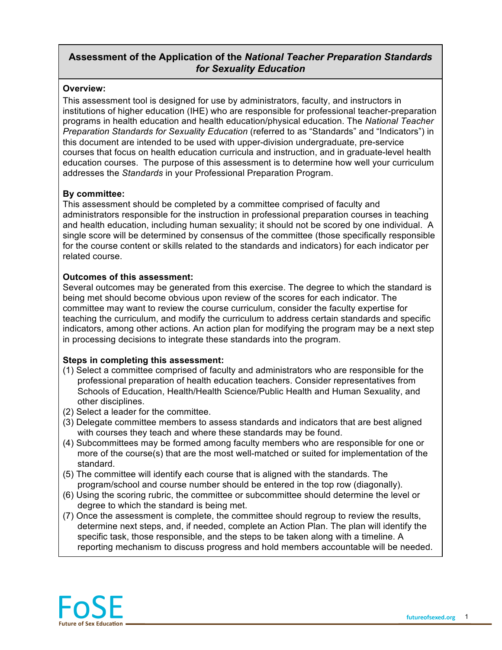## **Assessment of the Application of the** *National Teacher Preparation Standards for Sexuality Education*

#### **Overview:**

This assessment tool is designed for use by administrators, faculty, and instructors in institutions of higher education (IHE) who are responsible for professional teacher-preparation programs in health education and health education/physical education. The *National Teacher Preparation Standards for Sexuality Education* (referred to as "Standards" and "Indicators") in this document are intended to be used with upper-division undergraduate, pre-service courses that focus on health education curricula and instruction, and in graduate-level health education courses. The purpose of this assessment is to determine how well your curriculum addresses the *Standards* in your Professional Preparation Program.

#### **By committee:**

This assessment should be completed by a committee comprised of faculty and administrators responsible for the instruction in professional preparation courses in teaching and health education, including human sexuality; it should not be scored by one individual. A single score will be determined by consensus of the committee (those specifically responsible for the course content or skills related to the standards and indicators) for each indicator per related course.

### **Outcomes of this assessment:**

Several outcomes may be generated from this exercise. The degree to which the standard is being met should become obvious upon review of the scores for each indicator. The committee may want to review the course curriculum, consider the faculty expertise for teaching the curriculum, and modify the curriculum to address certain standards and specific indicators, among other actions. An action plan for modifying the program may be a next step in processing decisions to integrate these standards into the program.

### **Steps in completing this assessment:**

- (1) Select a committee comprised of faculty and administrators who are responsible for the professional preparation of health education teachers. Consider representatives from Schools of Education, Health/Health Science/Public Health and Human Sexuality, and other disciplines.
- (2) Select a leader for the committee.
- (3) Delegate committee members to assess standards and indicators that are best aligned with courses they teach and where these standards may be found.
- (4) Subcommittees may be formed among faculty members who are responsible for one or more of the course(s) that are the most well-matched or suited for implementation of the standard.
- (5) The committee will identify each course that is aligned with the standards. The program/school and course number should be entered in the top row (diagonally).
- (6) Using the scoring rubric, the committee or subcommittee should determine the level or degree to which the standard is being met.
- (7) Once the assessment is complete, the committee should regroup to review the results, determine next steps, and, if needed, complete an Action Plan. The plan will identify the specific task, those responsible, and the steps to be taken along with a timeline. A reporting mechanism to discuss progress and hold members accountable will be needed.

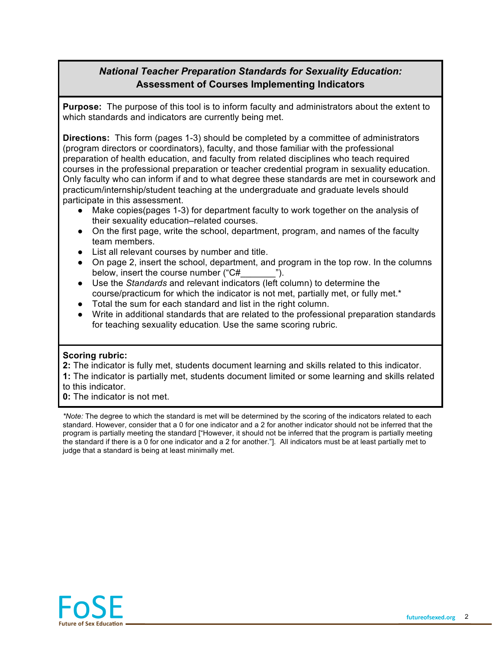# *National Teacher Preparation Standards for Sexuality Education:* **Assessment of Courses Implementing Indicators**

**Purpose:** The purpose of this tool is to inform faculty and administrators about the extent to which standards and indicators are currently being met.

**Directions:** This form (pages 1-3) should be completed by a committee of administrators (program directors or coordinators), faculty, and those familiar with the professional preparation of health education, and faculty from related disciplines who teach required courses in the professional preparation or teacher credential program in sexuality education. Only faculty who can inform if and to what degree these standards are met in coursework and practicum/internship/student teaching at the undergraduate and graduate levels should participate in this assessment.

- Make copies(pages 1-3) for department faculty to work together on the analysis of their sexuality education–related courses.
- On the first page, write the school, department, program, and names of the faculty team members.
- List all relevant courses by number and title.
- On page 2, insert the school, department, and program in the top row. In the columns below, insert the course number ("C#\_\_\_\_\_\_\_").
- Use the *Standards* and relevant indicators (left column) to determine the course/practicum for which the indicator is not met, partially met, or fully met.\*
- Total the sum for each standard and list in the right column.
- Write in additional standards that are related to the professional preparation standards for teaching sexuality education. Use the same scoring rubric.

### **Scoring rubric:**

- **2:** The indicator is fully met, students document learning and skills related to this indicator.
- **1:** The indicator is partially met, students document limited or some learning and skills related to this indicator.
- **0:** The indicator is not met.

*\*Note:* The degree to which the standard is met will be determined by the scoring of the indicators related to each standard. However, consider that a 0 for one indicator and a 2 for another indicator should not be inferred that the program is partially meeting the standard ["However, it should not be inferred that the program is partially meeting the standard if there is a 0 for one indicator and a 2 for another."]. All indicators must be at least partially met to judge that a standard is being at least minimally met.

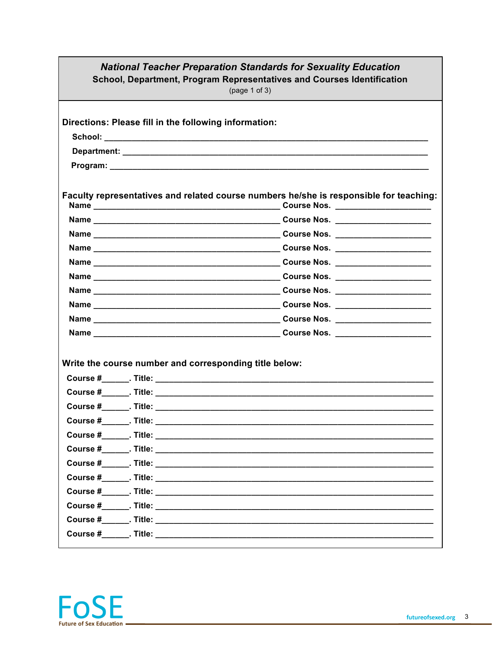| <b>National Teacher Preparation Standards for Sexuality Education</b><br>School, Department, Program Representatives and Courses Identification<br>(page 1 of 3) |  |
|------------------------------------------------------------------------------------------------------------------------------------------------------------------|--|
| Directions: Please fill in the following information:                                                                                                            |  |
|                                                                                                                                                                  |  |
|                                                                                                                                                                  |  |
|                                                                                                                                                                  |  |
| Faculty representatives and related course numbers he/she is responsible for teaching:                                                                           |  |
|                                                                                                                                                                  |  |
|                                                                                                                                                                  |  |
|                                                                                                                                                                  |  |
|                                                                                                                                                                  |  |
|                                                                                                                                                                  |  |
|                                                                                                                                                                  |  |
|                                                                                                                                                                  |  |
|                                                                                                                                                                  |  |
|                                                                                                                                                                  |  |
|                                                                                                                                                                  |  |
| Write the course number and corresponding title below:                                                                                                           |  |
|                                                                                                                                                                  |  |
|                                                                                                                                                                  |  |
|                                                                                                                                                                  |  |
|                                                                                                                                                                  |  |
|                                                                                                                                                                  |  |
|                                                                                                                                                                  |  |
|                                                                                                                                                                  |  |
|                                                                                                                                                                  |  |
|                                                                                                                                                                  |  |
|                                                                                                                                                                  |  |
|                                                                                                                                                                  |  |
|                                                                                                                                                                  |  |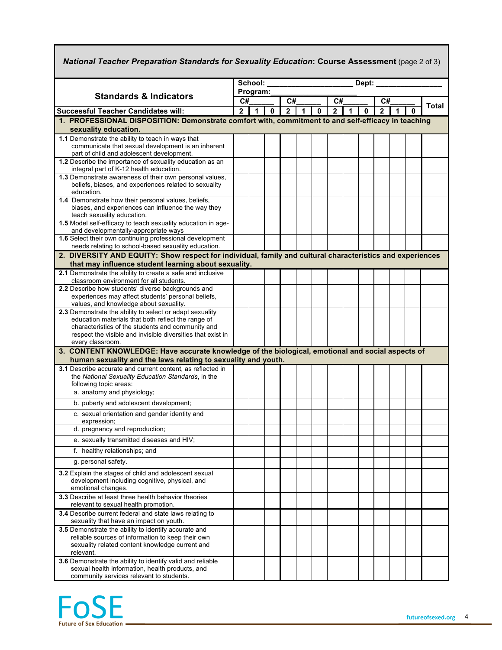| National Teacher Preparation Standards for Sexuality Education: Course Assessment (page 2 of 3)                                |                                                       |                      |             |                      |   |              |                      |   |   |                      |  |   |       |
|--------------------------------------------------------------------------------------------------------------------------------|-------------------------------------------------------|----------------------|-------------|----------------------|---|--------------|----------------------|---|---|----------------------|--|---|-------|
|                                                                                                                                | School:<br>Dept: $\overline{\phantom{a}}$<br>Program: |                      |             |                      |   |              |                      |   |   |                      |  |   |       |
| <b>Standards &amp; Indicators</b>                                                                                              | C#                                                    |                      |             |                      |   |              |                      |   |   |                      |  |   |       |
| <b>Successful Teacher Candidates will:</b>                                                                                     |                                                       | $\blacktriangleleft$ | $\mathbf 0$ | C#<br>$\overline{2}$ | 1 | $\mathbf{0}$ | C#<br>$\overline{2}$ | 1 | 0 | C#<br>$\overline{2}$ |  | 0 | Total |
| 1. PROFESSIONAL DISPOSITION: Demonstrate comfort with, commitment to and self-efficacy in teaching                             | $\overline{2}$                                        |                      |             |                      |   |              |                      |   |   |                      |  |   |       |
| sexuality education.                                                                                                           |                                                       |                      |             |                      |   |              |                      |   |   |                      |  |   |       |
| 1.1 Demonstrate the ability to teach in ways that                                                                              |                                                       |                      |             |                      |   |              |                      |   |   |                      |  |   |       |
| communicate that sexual development is an inherent                                                                             |                                                       |                      |             |                      |   |              |                      |   |   |                      |  |   |       |
| part of child and adolescent development.<br>1.2 Describe the importance of sexuality education as an                          |                                                       |                      |             |                      |   |              |                      |   |   |                      |  |   |       |
| integral part of K-12 health education.                                                                                        |                                                       |                      |             |                      |   |              |                      |   |   |                      |  |   |       |
| 1.3 Demonstrate awareness of their own personal values,<br>beliefs, biases, and experiences related to sexuality<br>education. |                                                       |                      |             |                      |   |              |                      |   |   |                      |  |   |       |
| 1.4 Demonstrate how their personal values, beliefs,                                                                            |                                                       |                      |             |                      |   |              |                      |   |   |                      |  |   |       |
| biases, and experiences can influence the way they                                                                             |                                                       |                      |             |                      |   |              |                      |   |   |                      |  |   |       |
| teach sexuality education.                                                                                                     |                                                       |                      |             |                      |   |              |                      |   |   |                      |  |   |       |
| 1.5 Model self-efficacy to teach sexuality education in age-<br>and developmentally-appropriate ways                           |                                                       |                      |             |                      |   |              |                      |   |   |                      |  |   |       |
| 1.6 Select their own continuing professional development                                                                       |                                                       |                      |             |                      |   |              |                      |   |   |                      |  |   |       |
| needs relating to school-based sexuality education.                                                                            |                                                       |                      |             |                      |   |              |                      |   |   |                      |  |   |       |
| 2. DIVERSITY AND EQUITY: Show respect for individual, family and cultural characteristics and experiences                      |                                                       |                      |             |                      |   |              |                      |   |   |                      |  |   |       |
| that may influence student learning about sexuality.                                                                           |                                                       |                      |             |                      |   |              |                      |   |   |                      |  |   |       |
| 2.1 Demonstrate the ability to create a safe and inclusive<br>classroom environment for all students.                          |                                                       |                      |             |                      |   |              |                      |   |   |                      |  |   |       |
| 2.2 Describe how students' diverse backgrounds and                                                                             |                                                       |                      |             |                      |   |              |                      |   |   |                      |  |   |       |
| experiences may affect students' personal beliefs,                                                                             |                                                       |                      |             |                      |   |              |                      |   |   |                      |  |   |       |
| values, and knowledge about sexuality.<br>2.3 Demonstrate the ability to select or adapt sexuality                             |                                                       |                      |             |                      |   |              |                      |   |   |                      |  |   |       |
| education materials that both reflect the range of                                                                             |                                                       |                      |             |                      |   |              |                      |   |   |                      |  |   |       |
| characteristics of the students and community and                                                                              |                                                       |                      |             |                      |   |              |                      |   |   |                      |  |   |       |
| respect the visible and invisible diversities that exist in                                                                    |                                                       |                      |             |                      |   |              |                      |   |   |                      |  |   |       |
| every classroom.<br>3. CONTENT KNOWLEDGE: Have accurate knowledge of the biological, emotional and social aspects of           |                                                       |                      |             |                      |   |              |                      |   |   |                      |  |   |       |
| human sexuality and the laws relating to sexuality and youth.                                                                  |                                                       |                      |             |                      |   |              |                      |   |   |                      |  |   |       |
| 3.1 Describe accurate and current content, as reflected in                                                                     |                                                       |                      |             |                      |   |              |                      |   |   |                      |  |   |       |
| the National Sexuality Education Standards, in the                                                                             |                                                       |                      |             |                      |   |              |                      |   |   |                      |  |   |       |
| following topic areas:<br>a. anatomy and physiology;                                                                           |                                                       |                      |             |                      |   |              |                      |   |   |                      |  |   |       |
| b. puberty and adolescent development;                                                                                         |                                                       |                      |             |                      |   |              |                      |   |   |                      |  |   |       |
|                                                                                                                                |                                                       |                      |             |                      |   |              |                      |   |   |                      |  |   |       |
| c. sexual orientation and gender identity and<br>expression;                                                                   |                                                       |                      |             |                      |   |              |                      |   |   |                      |  |   |       |
| d. pregnancy and reproduction;                                                                                                 |                                                       |                      |             |                      |   |              |                      |   |   |                      |  |   |       |
| e. sexually transmitted diseases and HIV;                                                                                      |                                                       |                      |             |                      |   |              |                      |   |   |                      |  |   |       |
| f. healthy relationships; and                                                                                                  |                                                       |                      |             |                      |   |              |                      |   |   |                      |  |   |       |
| g. personal safety.                                                                                                            |                                                       |                      |             |                      |   |              |                      |   |   |                      |  |   |       |
| 3.2 Explain the stages of child and adolescent sexual                                                                          |                                                       |                      |             |                      |   |              |                      |   |   |                      |  |   |       |
| development including cognitive, physical, and<br>emotional changes.                                                           |                                                       |                      |             |                      |   |              |                      |   |   |                      |  |   |       |
| 3.3 Describe at least three health behavior theories<br>relevant to sexual health promotion.                                   |                                                       |                      |             |                      |   |              |                      |   |   |                      |  |   |       |
| 3.4 Describe current federal and state laws relating to<br>sexuality that have an impact on youth.                             |                                                       |                      |             |                      |   |              |                      |   |   |                      |  |   |       |
| 3.5 Demonstrate the ability to identify accurate and                                                                           |                                                       |                      |             |                      |   |              |                      |   |   |                      |  |   |       |
| reliable sources of information to keep their own<br>sexuality related content knowledge current and                           |                                                       |                      |             |                      |   |              |                      |   |   |                      |  |   |       |
| relevant.                                                                                                                      |                                                       |                      |             |                      |   |              |                      |   |   |                      |  |   |       |
| 3.6 Demonstrate the ability to identify valid and reliable                                                                     |                                                       |                      |             |                      |   |              |                      |   |   |                      |  |   |       |
| sexual health information, health products, and                                                                                |                                                       |                      |             |                      |   |              |                      |   |   |                      |  |   |       |
| community services relevant to students.                                                                                       |                                                       |                      |             |                      |   |              |                      |   |   |                      |  |   |       |



Г